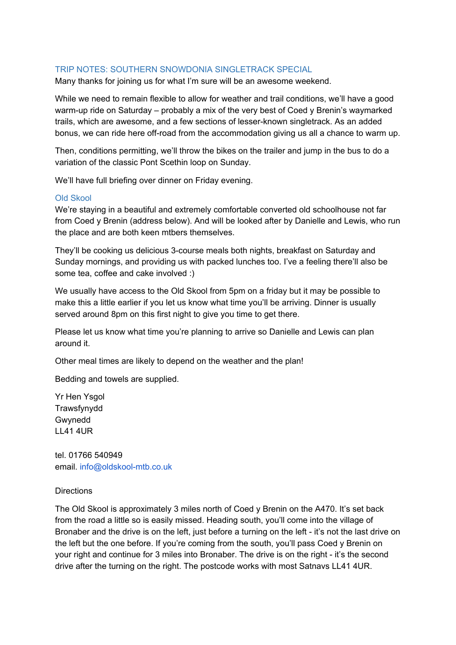### TRIP NOTES: SOUTHERN SNOWDONIA SINGLETRACK SPECIAL

Many thanks for joining us for what I'm sure will be an awesome weekend.

While we need to remain flexible to allow for weather and trail conditions, we'll have a good warm-up ride on Saturday – probably a mix of the very best of Coed y Brenin's waymarked trails, which are awesome, and a few sections of lesser-known singletrack. As an added bonus, we can ride here off-road from the accommodation giving us all a chance to warm up.

Then, conditions permitting, we'll throw the bikes on the trailer and jump in the bus to do a variation of the classic Pont Scethin loop on Sunday.

We'll have full briefing over dinner on Friday evening.

### Old Skool

We're staying in a beautiful and extremely comfortable converted old schoolhouse not far from Coed y Brenin (address below). And will be looked after by Danielle and Lewis, who run the place and are both keen mtbers themselves.

They'll be cooking us delicious 3-course meals both nights, breakfast on Saturday and Sunday mornings, and providing us with packed lunches too. I've a feeling there'll also be some tea, coffee and cake involved :)

We usually have access to the Old Skool from 5pm on a friday but it may be possible to make this a little earlier if you let us know what time you'll be arriving. Dinner is usually served around 8pm on this first night to give you time to get there.

Please let us know what time you're planning to arrive so Danielle and Lewis can plan around it.

Other meal times are likely to depend on the weather and the plan!

Bedding and towels are supplied.

Yr Hen Ysgol Trawsfynydd Gwynedd LL41 4UR

tel. 01766 540949 email. info@oldskool-mtb.co.uk

#### **Directions**

The Old Skool is approximately 3 miles north of Coed y Brenin on the A470. It's set back from the road a little so is easily missed. Heading south, you'll come into the village of Bronaber and the drive is on the left, just before a turning on the left - it's not the last drive on the left but the one before. If you're coming from the south, you'll pass Coed y Brenin on your right and continue for 3 miles into Bronaber. The drive is on the right - it's the second drive after the turning on the right. The postcode works with most Satnavs LL41 4UR.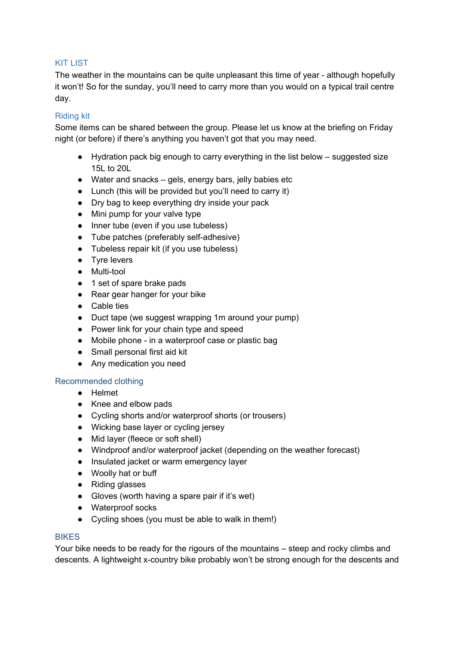# KIT LIST

The weather in the mountains can be quite unpleasant this time of year - although hopefully it won't! So for the sunday, you'll need to carry more than you would on a typical trail centre day.

## Riding kit

Some items can be shared between the group. Please let us know at the briefing on Friday night (or before) if there's anything you haven't got that you may need.

- Hydration pack big enough to carry everything in the list below suggested size 15L to 20L
- Water and snacks gels, energy bars, jelly babies etc
- Lunch (this will be provided but you'll need to carry it)
- Dry bag to keep everything dry inside your pack
- Mini pump for your valve type
- Inner tube (even if you use tubeless)
- Tube patches (preferably self-adhesive)
- Tubeless repair kit (if you use tubeless)
- Tyre levers
- Multi-tool
- 1 set of spare brake pads
- Rear gear hanger for your bike
- Cable ties
- Duct tape (we suggest wrapping 1m around your pump)
- Power link for your chain type and speed
- Mobile phone in a waterproof case or plastic bag
- Small personal first aid kit
- Any medication you need

## Recommended clothing

- Helmet
- Knee and elbow pads
- Cycling shorts and/or waterproof shorts (or trousers)
- Wicking base layer or cycling jersey
- Mid layer (fleece or soft shell)
- Windproof and/or waterproof jacket (depending on the weather forecast)
- Insulated jacket or warm emergency layer
- Woolly hat or buff
- Riding glasses
- Gloves (worth having a spare pair if it's wet)
- Waterproof socks
- Cycling shoes (you must be able to walk in them!)

## **BIKES**

Your bike needs to be ready for the rigours of the mountains – steep and rocky climbs and descents. A lightweight x-country bike probably won't be strong enough for the descents and